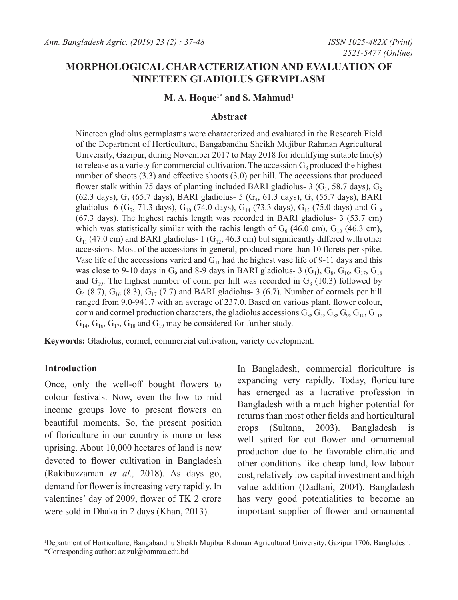## **MORPHOLOGICAL CHARACTERIZATION AND EVALUATION OF NINETEEN GLADIOLUS GERMPLASM**

## M. A. Hoque<sup>1\*</sup> and S. Mahmud<sup>1</sup>

### **Abstract**

Nineteen gladiolus germplasms were characterized and evaluated in the Research Field of the Department of Horticulture, Bangabandhu Sheikh Mujibur Rahman Agricultural University, Gazipur, during November 2017 to May 2018 for identifying suitable line(s) to release as a variety for commercial cultivation. The accession  $G_8$  produced the highest number of shoots (3.3) and effective shoots (3.0) per hill. The accessions that produced flower stalk within 75 days of planting included BARI gladiolus- 3 ( $G_1$ , 58.7 days),  $G_2$ (62.3 days), G<sub>3</sub> (65.7 days), BARI gladiolus- 5 (G<sub>4</sub>, 61.3 days), G<sub>5</sub> (55.7 days), BARI gladiolus- 6 (G<sub>7</sub>, 71.3 days), G<sub>10</sub> (74.0 days), G<sub>14</sub> (73.3 days), G<sub>15</sub> (75.0 days) and G<sub>19</sub> (67.3 days). The highest rachis length was recorded in BARI gladiolus- 3 (53.7 cm) which was statistically similar with the rachis length of  $G_6$  (46.0 cm),  $G_{10}$  (46.3 cm),  $G_{11}$  (47.0 cm) and BARI gladiolus- 1 ( $G_{12}$ , 46.3 cm) but significantly differed with other accessions. Most of the accessions in general, produced more than 10 florets per spike. Vase life of the accessions varied and  $G<sub>11</sub>$  had the highest vase life of 9-11 days and this was close to 9-10 days in G<sub>9</sub> and 8-9 days in BARI gladiolus- 3  $(G_1)$ ,  $G_8$ ,  $G_{10}$ ,  $G_{17}$ ,  $G_{18}$ and  $G_{19}$ . The highest number of corm per hill was recorded in  $G_8$  (10.3) followed by  $G_5$  (8.7),  $G_{16}$  (8.3),  $G_{17}$  (7.7) and BARI gladiolus- 3 (6.7). Number of cormels per hill ranged from 9.0-941.7 with an average of 237.0. Based on various plant, flower colour, corm and cormel production characters, the gladiolus accessions  $G_3, G_5, G_8, G_9, G_{10}, G_{11}$ ,  $G_{14}$ ,  $G_{16}$ ,  $G_{17}$ ,  $G_{18}$  and  $G_{19}$  may be considered for further study.

**Keywords:** Gladiolus, cormel, commercial cultivation, variety development.

#### **Introduction**

Once, only the well-off bought flowers to colour festivals. Now, even the low to mid income groups love to present flowers on beautiful moments. So, the present position of floriculture in our country is more or less uprising. About 10,000 hectares of land is now devoted to flower cultivation in Bangladesh (Rakibuzzaman *et al.,* 2018). As days go, demand for flower is increasing very rapidly. In valentines' day of 2009, flower of TK 2 crore were sold in Dhaka in 2 days (Khan, 2013).

In Bangladesh, commercial floriculture is expanding very rapidly. Today, floriculture has emerged as a lucrative profession in Bangladesh with a much higher potential for returns than most other fields and horticultural crops (Sultana, 2003). Bangladesh is well suited for cut flower and ornamental production due to the favorable climatic and other conditions like cheap land, low labour cost, relatively low capital investment and high value addition (Dadlani, 2004). Bangladesh has very good potentialities to become an important supplier of flower and ornamental

<sup>1</sup> Department of Horticulture, Bangabandhu Sheikh Mujibur Rahman Agricultural University, Gazipur 1706, Bangladesh. \*Corresponding author: azizul@bamrau.edu.bd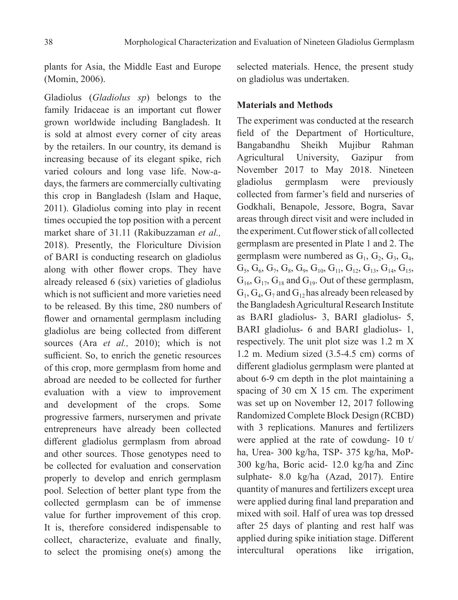plants for Asia, the Middle East and Europe (Momin, 2006).

Gladiolus (*Gladiolus sp*) belongs to the family Iridaceae is an important cut flower grown worldwide including Bangladesh. It is sold at almost every corner of city areas by the retailers. In our country, its demand is increasing because of its elegant spike, rich varied colours and long vase life. Now-adays, the farmers are commercially cultivating this crop in Bangladesh (Islam and Haque, 2011). Gladiolus coming into play in recent times occupied the top position with a percent market share of 31.11 (Rakibuzzaman *et al.,*  2018). Presently, the Floriculture Division of BARI is conducting research on gladiolus along with other flower crops. They have already released 6 (six) varieties of gladiolus which is not sufficient and more varieties need to be released. By this time, 280 numbers of flower and ornamental germplasm including gladiolus are being collected from different sources (Ara *et al.,* 2010); which is not sufficient. So, to enrich the genetic resources of this crop, more germplasm from home and abroad are needed to be collected for further evaluation with a view to improvement and development of the crops. Some progressive farmers, nurserymen and private entrepreneurs have already been collected different gladiolus germplasm from abroad and other sources. Those genotypes need to be collected for evaluation and conservation properly to develop and enrich germplasm pool. Selection of better plant type from the collected germplasm can be of immense value for further improvement of this crop. It is, therefore considered indispensable to collect, characterize, evaluate and finally, to select the promising one(s) among the

selected materials. Hence, the present study on gladiolus was undertaken.

## **Materials and Methods**

The experiment was conducted at the research field of the Department of Horticulture, Bangabandhu Sheikh Mujibur Rahman Agricultural University, Gazipur from November 2017 to May 2018. Nineteen gladiolus germplasm were previously collected from farmer's field and nurseries of Godkhali, Benapole, Jessore, Bogra, Savar areas through direct visit and were included in the experiment. Cut flower stick of all collected germplasm are presented in Plate 1 and 2. The germplasm were numbered as  $G_1$ ,  $G_2$ ,  $G_3$ ,  $G_4$ ,  $G_5$ ,  $G_6$ ,  $G_7$ ,  $G_8$ ,  $G_9$ ,  $G_{10}$ ,  $G_{11}$ ,  $G_{12}$ ,  $G_{13}$ ,  $G_{14}$ ,  $G_{15}$ ,  $G<sub>16</sub>, G<sub>17</sub>, G<sub>18</sub>$  and  $G<sub>19</sub>$ . Out of these germplasm,  $G_1, G_4, G_7$  and  $G_1$  has already been released by the Bangladesh Agricultural Research Institute as BARI gladiolus- 3, BARI gladiolus- 5, BARI gladiolus- 6 and BARI gladiolus- 1, respectively. The unit plot size was 1.2 m X 1.2 m. Medium sized (3.5-4.5 cm) corms of different gladiolus germplasm were planted at about 6-9 cm depth in the plot maintaining a spacing of 30 cm X 15 cm. The experiment was set up on November 12, 2017 following Randomized Complete Block Design (RCBD) with 3 replications. Manures and fertilizers were applied at the rate of cowdung- 10 t/ ha, Urea- 300 kg/ha, TSP- 375 kg/ha, MoP-300 kg/ha, Boric acid- 12.0 kg/ha and Zinc sulphate- 8.0 kg/ha (Azad, 2017). Entire quantity of manures and fertilizers except urea were applied during final land preparation and mixed with soil. Half of urea was top dressed after 25 days of planting and rest half was applied during spike initiation stage. Different intercultural operations like irrigation,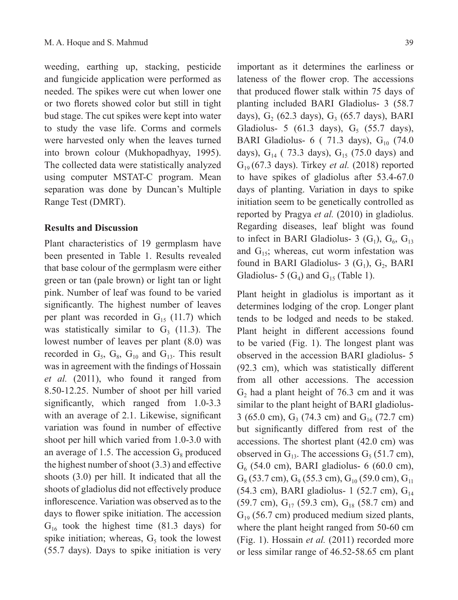weeding, earthing up, stacking, pesticide and fungicide application were performed as needed. The spikes were cut when lower one or two florets showed color but still in tight bud stage. The cut spikes were kept into water to study the vase life. Corms and cormels were harvested only when the leaves turned into brown colour (Mukhopadhyay, 1995). The collected data were statistically analyzed using computer MSTAT-C program. Mean separation was done by Duncan's Multiple Range Test (DMRT).

#### **Results and Discussion**

Plant characteristics of 19 germplasm have been presented in Table 1. Results revealed that base colour of the germplasm were either green or tan (pale brown) or light tan or light pink. Number of leaf was found to be varied significantly. The highest number of leaves per plant was recorded in  $G_{15}$  (11.7) which was statistically similar to  $G_3$  (11.3). The lowest number of leaves per plant (8.0) was recorded in  $G_5$ ,  $G_8$ ,  $G_{10}$  and  $G_{13}$ . This result was in agreement with the findings of Hossain *et al.* (2011), who found it ranged from 8.50-12.25. Number of shoot per hill varied significantly, which ranged from 1.0-3.3 with an average of 2.1. Likewise, significant variation was found in number of effective shoot per hill which varied from 1.0-3.0 with an average of 1.5. The accession  $G_8$  produced the highest number of shoot (3.3) and effective shoots (3.0) per hill. It indicated that all the shoots of gladiolus did not effectively produce inflorescence. Variation was observed as to the days to flower spike initiation. The accession  $G_{16}$  took the highest time (81.3 days) for spike initiation; whereas,  $G<sub>5</sub>$  took the lowest (55.7 days). Days to spike initiation is very

important as it determines the earliness or lateness of the flower crop. The accessions that produced flower stalk within 75 days of planting included BARI Gladiolus- 3 (58.7 days), G<sub>2</sub> (62.3 days), G<sub>3</sub> (65.7 days), BARI Gladiolus- 5 (61.3 days),  $G<sub>5</sub>$  (55.7 days), BARI Gladiolus- 6 ( 71.3 days),  $G_{10}$  (74.0 days),  $G_{14}$  ( 73.3 days),  $G_{15}$  (75.0 days) and G19 (67.3 days). Tirkey *et al.* (2018) reported to have spikes of gladiolus after 53.4-67.0 days of planting. Variation in days to spike initiation seem to be genetically controlled as reported by Pragya *et al.* (2010) in gladiolus. Regarding diseases, leaf blight was found to infect in BARI Gladiolus- 3  $(G_1)$ ,  $G_6$ ,  $G_{13}$ and  $G_{15}$ ; whereas, cut worm infestation was found in BARI Gladiolus- 3  $(G_1)$ ,  $G_2$ , BARI Gladiolus- 5  $(G_4)$  and  $G_{15}$  (Table 1).

Plant height in gladiolus is important as it determines lodging of the crop. Longer plant tends to be lodged and needs to be staked. Plant height in different accessions found to be varied (Fig. 1). The longest plant was observed in the accession BARI gladiolus- 5 (92.3 cm), which was statistically different from all other accessions. The accession  $G<sub>2</sub>$  had a plant height of 76.3 cm and it was similar to the plant height of BARI gladiolus-3 (65.0 cm), G<sub>3</sub> (74.3 cm) and G<sub>16</sub> (72.7 cm) but significantly differed from rest of the accessions. The shortest plant (42.0 cm) was observed in  $G_{13}$ . The accessions  $G_5$  (51.7 cm), G6 (54.0 cm), BARI gladiolus- 6 (60.0 cm),  $G_8$  (53.7 cm),  $G_9$  (55.3 cm),  $G_{10}$  (59.0 cm),  $G_{11}$ (54.3 cm), BARI gladiolus- 1 (52.7 cm),  $G_{14}$ (59.7 cm),  $G_{17}$  (59.3 cm),  $G_{18}$  (58.7 cm) and  $G_{19}$  (56.7 cm) produced medium sized plants, where the plant height ranged from 50-60 cm (Fig. 1). Hossain *et al.* (2011) recorded more or less similar range of 46.52-58.65 cm plant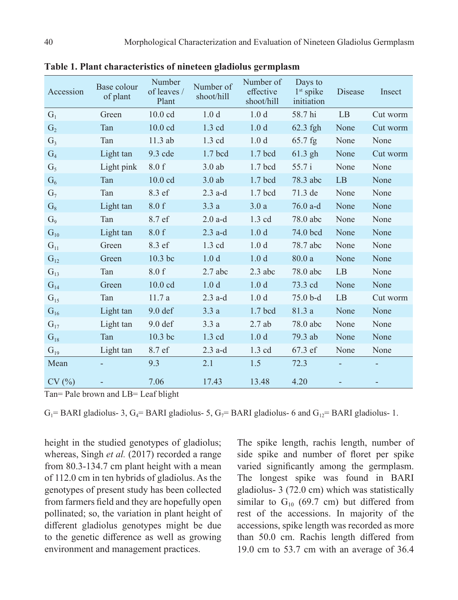| Accession      | Base colour<br>of plant | Number<br>of leaves /<br>Plant | Number of<br>shoot/hill | Number of<br>effective<br>shoot/hill | Days to<br>1 <sup>st</sup> spike<br>initiation | Disease | Insect   |
|----------------|-------------------------|--------------------------------|-------------------------|--------------------------------------|------------------------------------------------|---------|----------|
| $G_1$          | Green                   | 10.0 cd                        | 1.0 <sub>d</sub>        | 1.0 <sub>d</sub>                     | 58.7 hi                                        | LB      | Cut worm |
| G <sub>2</sub> | Tan                     | 10.0 cd                        | $1.3$ cd                | 1.0 <sub>d</sub>                     | 62.3 fgh                                       | None    | Cut worm |
| G <sub>3</sub> | Tan                     | $11.3$ ab                      | 1.3 cd                  | 1.0 <sub>d</sub>                     | $65.7$ fg                                      | None    | None     |
| G <sub>4</sub> | Light tan               | 9.3 cde                        | 1.7 bcd                 | $1.7$ bcd                            | $61.3$ gh                                      | None    | Cut worm |
| $G_5$          | Light pink              | 8.0 f                          | $3.0$ ab                | 1.7 bcd                              | 55.7 i                                         | None    | None     |
| G <sub>6</sub> | Tan                     | $10.0$ cd                      | $3.0$ ab                | $1.7$ bcd                            | 78.3 abc                                       | LB      | None     |
| $G_7$          | Tan                     | 8.3 ef                         | $2.3$ a-d               | $1.7$ bcd                            | 71.3 de                                        | None    | None     |
| $G_8$          | Light tan               | 8.0 f                          | 3.3a                    | 3.0a                                 | 76.0 a-d                                       | None    | None     |
| $G_9$          | Tan                     | 8.7 ef                         | $2.0$ a-d               | $1.3$ cd                             | 78.0 abc                                       | None    | None     |
| $G_{10}$       | Light tan               | 8.0 f                          | $2.3$ a-d               | 1.0 <sub>d</sub>                     | 74.0 bcd                                       | None    | None     |
| $G_{11}$       | Green                   | 8.3 ef                         | 1.3 cd                  | 1.0 <sub>d</sub>                     | 78.7 abc                                       | None    | None     |
| $G_{12}$       | Green                   | 10.3 bc                        | 1.0 <sub>d</sub>        | 1.0 <sub>d</sub>                     | 80.0a                                          | None    | None     |
| $G_{13}$       | Tan                     | 8.0 f                          | $2.7$ abc               | $2.3$ abc                            | 78.0 abc                                       | LB      | None     |
| $G_{14}$       | Green                   | 10.0 cd                        | 1.0 <sub>d</sub>        | 1.0 <sub>d</sub>                     | 73.3 cd                                        | None    | None     |
| $G_{15}$       | Tan                     | 11.7a                          | $2.3$ a-d               | 1.0 <sub>d</sub>                     | $75.0b-d$                                      | LB      | Cut worm |
| $G_{16}$       | Light tan               | 9.0 def                        | 3.3a                    | $1.7$ bcd                            | 81.3 a                                         | None    | None     |
| $G_{17}$       | Light tan               | 9.0 def                        | 3.3a                    | 2.7ab                                | 78.0 abc                                       | None    | None     |
| $G_{18}$       | Tan                     | 10.3 bc                        | 1.3 cd                  | 1.0 <sub>d</sub>                     | 79.3 ab                                        | None    | None     |
| $G_{19}$       | Light tan               | 8.7 ef                         | $2.3$ a-d               | 1.3 cd                               | 67.3 ef                                        | None    | None     |
| Mean           |                         | 9.3                            | 2.1                     | 1.5                                  | 72.3                                           |         |          |
| CV(%)          |                         | 7.06                           | 17.43                   | 13.48                                | 4.20                                           |         |          |

**Table 1. Plant characteristics of nineteen gladiolus germplasm**

Tan= Pale brown and LB= Leaf blight

 $G_1$  = BARI gladiolus- 3,  $G_4$  = BARI gladiolus- 5,  $G_7$  = BARI gladiolus- 6 and  $G_{12}$  = BARI gladiolus- 1.

height in the studied genotypes of gladiolus; whereas, Singh *et al.* (2017) recorded a range from 80.3-134.7 cm plant height with a mean of 112.0 cm in ten hybrids of gladiolus. As the genotypes of present study has been collected from farmers field and they are hopefully open pollinated; so, the variation in plant height of different gladiolus genotypes might be due to the genetic difference as well as growing environment and management practices.

The spike length, rachis length, number of side spike and number of floret per spike varied significantly among the germplasm. The longest spike was found in BARI gladiolus- 3 (72.0 cm) which was statistically similar to  $G_{10}$  (69.7 cm) but differed from rest of the accessions. In majority of the accessions, spike length was recorded as more than 50.0 cm. Rachis length differed from 19.0 cm to 53.7 cm with an average of 36.4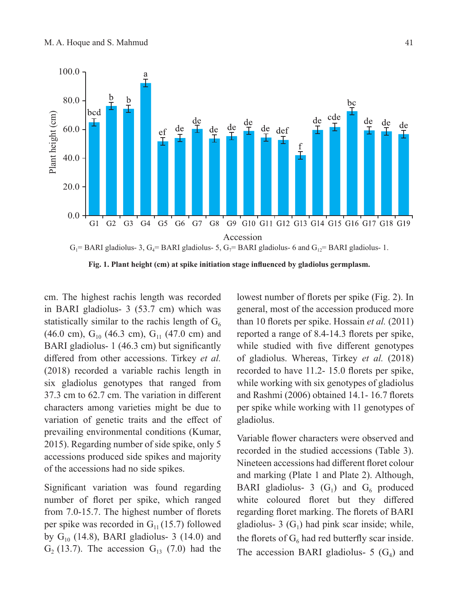

**Fig. 1. Plant height (cm) at spike initiation stage influenced by gladiolus germplasm.**

cm. The highest rachis length was recorded in BARI gladiolus- 3 (53.7 cm) which was statistically similar to the rachis length of  $G_6$ (46.0 cm),  $G_{10}$  (46.3 cm),  $G_{11}$  (47.0 cm) and BARI gladiolus- 1 (46.3 cm) but significantly differed from other accessions. Tirkey *et al.*  (2018) recorded a variable rachis length in six gladiolus genotypes that ranged from 37.3 cm to 62.7 cm. The variation in different characters among varieties might be due to variation of genetic traits and the effect of prevailing environmental conditions (Kumar, 2015). Regarding number of side spike, only 5 accessions produced side spikes and majority of the accessions had no side spikes.

Significant variation was found regarding number of floret per spike, which ranged from 7.0-15.7. The highest number of florets per spike was recorded in  $G<sub>11</sub>$  (15.7) followed by  $G_{10}$  (14.8), BARI gladiolus- 3 (14.0) and  $G<sub>2</sub>$  (13.7). The accession  $G<sub>13</sub>$  (7.0) had the lowest number of florets per spike (Fig. 2). In general, most of the accession produced more than 10 florets per spike. Hossain *et al.* (2011) reported a range of 8.4-14.3 florets per spike, while studied with five different genotypes of gladiolus. Whereas, Tirkey *et al.* (2018) recorded to have 11.2- 15.0 florets per spike, while working with six genotypes of gladiolus and Rashmi (2006) obtained 14.1- 16.7 florets per spike while working with 11 genotypes of gladiolus.

Variable flower characters were observed and recorded in the studied accessions (Table 3). Nineteen accessions had different floret colour and marking (Plate 1 and Plate 2). Although, BARI gladiolus- 3  $(G_1)$  and  $G_6$  produced white coloured floret but they differed regarding floret marking. The florets of BARI gladiolus- 3  $(G_1)$  had pink scar inside; while, the florets of  $G_6$  had red butterfly scar inside. The accession BARI gladiolus- 5  $(G_4)$  and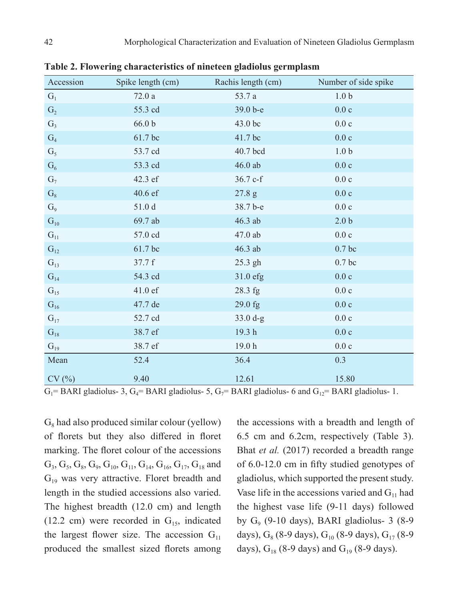| Accession         | Spike length (cm) | Rachis length (cm) | Number of side spike |
|-------------------|-------------------|--------------------|----------------------|
| G <sub>1</sub>    | 72.0a             | 53.7 a             | $1.0\ \mathrm{b}$    |
| G <sub>2</sub>    | 55.3 cd           | 39.0 b-e           | $0.0\ \mathrm{c}$    |
| $G_3$             | 66.0 <sub>b</sub> | 43.0 bc            | 0.0c                 |
| G <sub>4</sub>    | 61.7 bc           | 41.7 bc            | 0.0c                 |
| $G_5$             | 53.7 cd           | 40.7 bcd           | $1.0\ \mathrm{b}$    |
| $G_6$             | 53.3 cd           | $46.0$ ab          | $0.0\;\rm c$         |
| $G_7$             | 42.3 ef           | 36.7 c-f           | 0.0c                 |
| $G_8$             | 40.6 ef           | 27.8 g             | $0.0\;\rm c$         |
| $G_9$             | $51.0\;\rm{d}$    | 38.7 b-e           | 0.0c                 |
| $G_{10}$          | $69.7\;ab$        | $46.3$ ab          | 2.0 <sub>b</sub>     |
| $\mathbf{G}_{11}$ | 57.0 cd           | $47.0\;{\rm ab}$   | $0.0\ \mathrm{c}$    |
| $G_{12}$          | 61.7 bc           | 46.3 ab            | $0.7\ \mathrm{bc}$   |
| $G_{13}$          | 37.7 f            | 25.3 gh            | $0.7\ \mathrm{bc}$   |
| $\mathrm{G}_{14}$ | 54.3 cd           | 31.0 efg           | 0.0c                 |
| $G_{15}$          | 41.0 ef           | 28.3 fg            | 0.0c                 |
| $G_{16}$          | 47.7 de           | 29.0 fg            | 0.0c                 |
| $G_{17}$          | 52.7 cd           | $33.0 d-g$         | $0.0\;\rm c$         |
| $G_{18}$          | 38.7 ef           | 19.3 h             | $0.0\ \mathrm{c}$    |
| $G_{19}$          | 38.7 ef           | $19.0\ \mathrm{h}$ | $0.0\;\rm c$         |
| Mean              | 52.4              | 36.4               | 0.3                  |
| CV(%)             | 9.40              | 12.61              | 15.80                |

**Table 2. Flowering characteristics of nineteen gladiolus germplasm**

 $G_1$  = BARI gladiolus- 3,  $G_4$  = BARI gladiolus- 5,  $G_7$  = BARI gladiolus- 6 and  $G_{12}$  = BARI gladiolus- 1.

 $G_8$  had also produced similar colour (yellow) of florets but they also differed in floret marking. The floret colour of the accessions  $G_3, G_5, G_8, G_9, G_{10}, G_{11}, G_{14}, G_{16}, G_{17}, G_{18}$  and  $G_{19}$  was very attractive. Floret breadth and length in the studied accessions also varied. The highest breadth (12.0 cm) and length (12.2 cm) were recorded in  $G_{15}$ , indicated the largest flower size. The accession  $G<sub>11</sub>$ produced the smallest sized florets among

the accessions with a breadth and length of 6.5 cm and 6.2cm, respectively (Table 3). Bhat *et al.* (2017) recorded a breadth range of 6.0-12.0 cm in fifty studied genotypes of gladiolus, which supported the present study. Vase life in the accessions varied and  $G<sub>11</sub>$  had the highest vase life (9-11 days) followed by  $G<sub>9</sub>$  (9-10 days), BARI gladiolus- 3 (8-9 days),  $G_8$  (8-9 days),  $G_{10}$  (8-9 days),  $G_{17}$  (8-9 days),  $G_{18}$  (8-9 days) and  $G_{19}$  (8-9 days).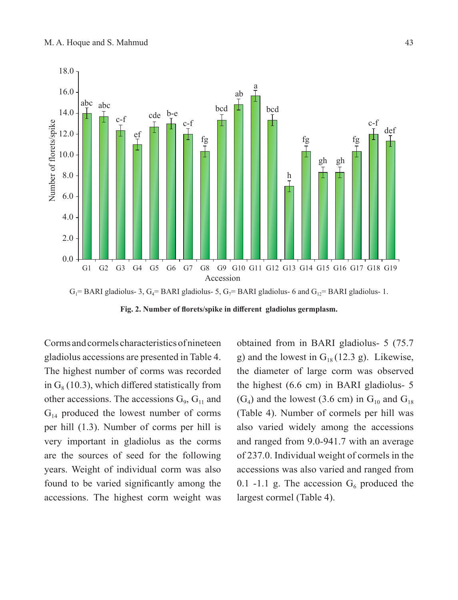

 $G_1$  = BARI gladiolus- 3,  $G_4$  = BARI gladiolus- 5,  $G_7$  = BARI gladiolus- 6 and  $G_{12}$  = BARI gladiolus- 1.

**Fig. 2. Number of florets/spike in different gladiolus germplasm.**

Corms and cormels characteristics of nineteen gladiolus accessions are presented in Table 4. The highest number of corms was recorded in  $G_8$  (10.3), which differed statistically from other accessions. The accessions  $G_9, G_{11}$  and  $G<sub>14</sub>$  produced the lowest number of corms per hill (1.3). Number of corms per hill is very important in gladiolus as the corms are the sources of seed for the following years. Weight of individual corm was also found to be varied significantly among the accessions. The highest corm weight was

obtained from in BARI gladiolus- 5 (75.7 g) and the lowest in  $G_{18}$  (12.3 g). Likewise, the diameter of large corm was observed the highest (6.6 cm) in BARI gladiolus- 5  $(G_4)$  and the lowest (3.6 cm) in  $G_{10}$  and  $G_{18}$ (Table 4). Number of cormels per hill was also varied widely among the accessions and ranged from 9.0-941.7 with an average of 237.0. Individual weight of cormels in the accessions was also varied and ranged from 0.1 -1.1 g. The accession  $G_6$  produced the largest cormel (Table 4).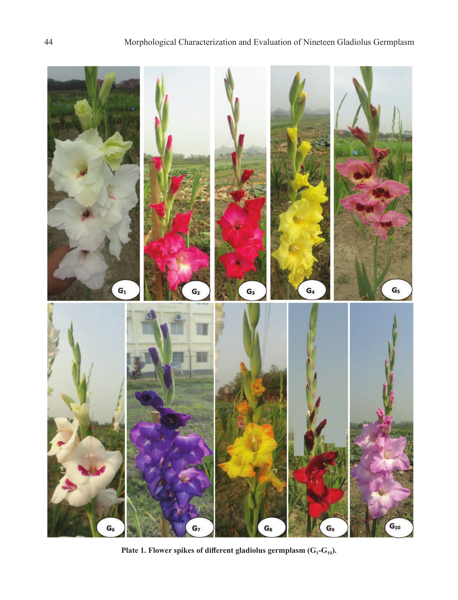

Plate 1. Flower spikes of different gladiolus germplasm  $(G_1-G_{10})$ .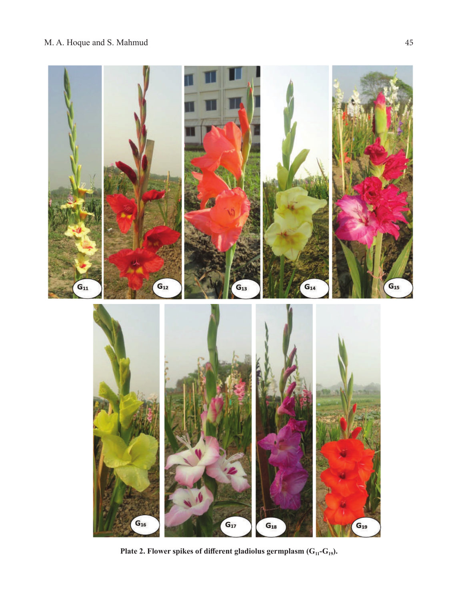# M. A. Hoque and S. Mahmud 45



Plate 2. Flower spikes of different gladiolus germplasm ( $G_{11}-G_{19}$ ).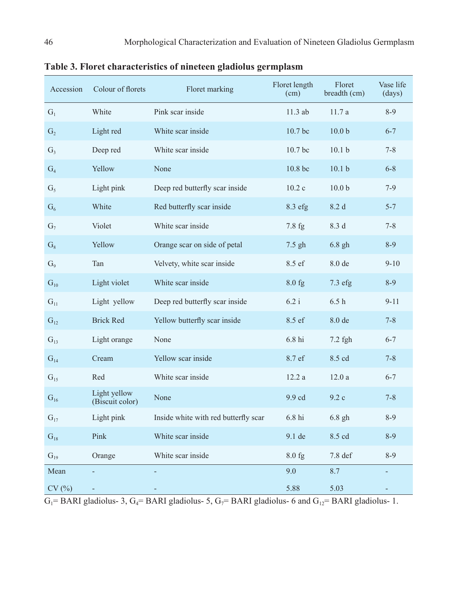| Accession      | Colour of florets               | Floret marking                       | Floret length<br>(cm) | Floret<br>breadth (cm) | Vase life<br>(days) |
|----------------|---------------------------------|--------------------------------------|-----------------------|------------------------|---------------------|
| $G_1$          | White                           | Pink scar inside                     | $11.3$ ab             | 11.7a                  | $8-9$               |
| G <sub>2</sub> | Light red                       | White scar inside                    | 10.7 bc               | 10.0 <sub>b</sub>      | $6 - 7$             |
| G <sub>3</sub> | Deep red                        | White scar inside                    | 10.7 bc               | 10.1 <sub>b</sub>      | $7 - 8$             |
| $G_4$          | Yellow                          | None                                 | 10.8 bc               | 10.1 <sub>b</sub>      | $6 - 8$             |
| $G_5$          | Light pink                      | Deep red butterfly scar inside       | 10.2c                 | 10.0 <sub>b</sub>      | $7-9$               |
| $G_6$          | White                           | Red butterfly scar inside            | $8.3$ efg             | 8.2 <sub>d</sub>       | $5 - 7$             |
| $G_7$          | Violet                          | White scar inside                    | 7.8 fg                | 8.3 d                  | $7 - 8$             |
| $G_8$          | Yellow                          | Orange scar on side of petal         | 7.5 gh                | $6.8$ gh               | $8-9$               |
| $G_9$          | Tan                             | Velvety, white scar inside           | 8.5 ef                | 8.0 de                 | $9 - 10$            |
| $G_{10}$       | Light violet                    | White scar inside                    | 8.0 fg                | 7.3 efg                | $8-9$               |
| $G_{11}$       | Light yellow                    | Deep red butterfly scar inside       | 6.2i                  | 6.5h                   | $9 - 11$            |
| $G_{12}$       | <b>Brick Red</b>                | Yellow butterfly scar inside         | 8.5 ef                | 8.0 <sub>de</sub>      | $7 - 8$             |
| $G_{13}$       | Light orange                    | None                                 | $6.8$ hi              | $7.2$ fgh              | $6 - 7$             |
| $G_{14}$       | Cream                           | Yellow scar inside                   | 8.7 ef                | 8.5 cd                 | $7 - 8$             |
| $G_{15}$       | Red                             | White scar inside                    | 12.2a                 | 12.0a                  | $6 - 7$             |
| $G_{16}$       | Light yellow<br>(Biscuit color) | None                                 | 9.9 cd                | 9.2c                   | $7 - 8$             |
| $G_{17}$       | Light pink                      | Inside white with red butterfly scar | $6.8$ hi              | $6.8$ gh               | $8-9$               |
| $G_{18}$       | Pink                            | White scar inside                    | 9.1 de                | 8.5 cd                 | $8-9$               |
| $G_{19}$       | Orange                          | White scar inside                    | 8.0 fg                | 7.8 def                | $8-9$               |
| Mean           |                                 |                                      | 9.0                   | 8.7                    |                     |
| CV(%)          | $\sim$<br>11.11                 | P(1,1)<br>$\sim$<br>$P_{\text{H}}$   | 5.88<br>11.11         | 5.03                   | 11.11               |

**Table 3. Floret characteristics of nineteen gladiolus germplasm**

 $G_1$ = BARI gladiolus- 3,  $G_4$ = BARI gladiolus- 5,  $G_7$ = BARI gladiolus- 6 and  $G_{12}$ = BARI gladiolus- 1.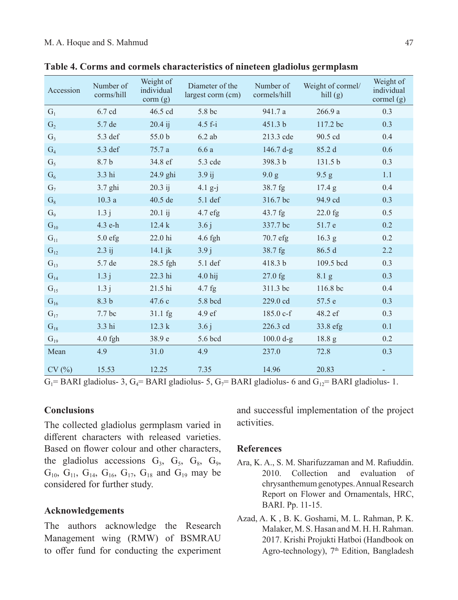| Accession      | Number of<br>corms/hill | Weight of<br>individual<br>$\operatorname{corn}(g)$ | Diameter of the<br>largest corm (cm) | Number of<br>cormels/hill | Weight of cormel/<br>hill $(g)$ | Weight of<br>individual<br>cormel $(g)$ |
|----------------|-------------------------|-----------------------------------------------------|--------------------------------------|---------------------------|---------------------------------|-----------------------------------------|
| $G_1$          | 6.7 cd                  | 46.5 cd                                             | 5.8 bc                               | 941.7 a                   | 266.9a                          | 0.3                                     |
| G <sub>2</sub> | 5.7 de                  | $20.4$ ij                                           | $4.5 f-i$                            | 451.3 b                   | 117.2 bc                        | 0.3                                     |
| G <sub>3</sub> | 5.3 def                 | 55.0 <sub>b</sub>                                   | $6.2$ ab                             | 213.3 cde                 | 90.5 cd                         | 0.4                                     |
| G <sub>4</sub> | $5.3$ def               | 75.7a                                               | 6.6a                                 | $146.7 d-g$               | 85.2 d                          | 0.6                                     |
| $G_5$          | 8.7b                    | 34.8 ef                                             | 5.3 cde                              | 398.3 b                   | 131.5 <sub>b</sub>              | 0.3                                     |
| $G_6$          | 3.3 hi                  | 24.9 ghi                                            | $3.9$ ij                             | 9.0 g                     | 9.5 g                           | 1.1                                     |
| $G_7$          | $3.7$ ghi               | $20.3$ ij                                           | $4.1$ g-j                            | $38.7$ fg                 | 17.4 g                          | 0.4                                     |
| $G_{8}$        | 10.3a                   | 40.5 de                                             | $5.1$ def                            | 316.7 bc                  | 94.9 cd                         | 0.3                                     |
| $G_9$          | 1.3j                    | $20.1$ ij                                           | 4.7 <sub>eff</sub>                   | $43.7$ fg                 | $22.0$ fg                       | 0.5                                     |
| $G_{10}$       | 4.3 e-h                 | 12.4k                                               | 3.6j                                 | 337.7 bc                  | 51.7 e                          | 0.2                                     |
| $G_{11}$       | $5.0$ efg               | 22.0 hi                                             | $4.6$ fgh                            | $70.7$ efg                | 16.3 g                          | 0.2                                     |
| $G_{12}$       | $2.3$ ij                | $14.1$ jk                                           | 3.9 <sub>1</sub>                     | 38.7 fg                   | 86.5 d                          | 2.2                                     |
| $G_{13}$       | 5.7 de                  | 28.5 fgh                                            | $5.1$ def                            | 418.3 b                   | 109.5 bcd                       | 0.3                                     |
| $G_{14}$       | 1.3 i                   | 22.3 hi                                             | $4.0$ hij                            | $27.0$ fg                 | 8.1 <sub>g</sub>                | 0.3                                     |
| $G_{15}$       | 1.3j                    | 21.5 hi                                             | $4.7$ fg                             | 311.3 bc                  | 116.8 bc                        | 0.4                                     |
| $G_{16}$       | 8.3 <sub>b</sub>        | 47.6c                                               | 5.8 bcd                              | 229.0 cd                  | 57.5 e                          | 0.3                                     |
| $G_{17}$       | 7.7 bc                  | $31.1$ fg                                           | 4.9 ef                               | $185.0 c-f$               | 48.2 ef                         | 0.3                                     |
| $G_{18}$       | 3.3 hi                  | 12.3 k                                              | 3.6j                                 | 226.3 cd                  | 33.8 efg                        | 0.1                                     |
| $G_{19}$       | $4.0$ fgh               | 38.9 e                                              | 5.6 bcd                              | $100.0 d-g$               | 18.8 g                          | 0.2                                     |
| Mean           | 4.9                     | 31.0                                                | 4.9                                  | 237.0                     | 72.8                            | 0.3                                     |
| CV(%)          | 15.53                   | 12.25                                               | 7.35                                 | 14.96                     | 20.83                           |                                         |

**Table 4. Corms and cormels characteristics of nineteen gladiolus germplasm**

 $G_1$ = BARI gladiolus- 3,  $G_4$ = BARI gladiolus- 5,  $G_7$ = BARI gladiolus- 6 and  $G_{12}$ = BARI gladiolus- 1.

## **Conclusions**

The collected gladiolus germplasm varied in different characters with released varieties. Based on flower colour and other characters, the gladiolus accessions  $G_3$ ,  $G_5$ ,  $G_8$ ,  $G_9$ ,  $G_{10}$ ,  $G_{11}$ ,  $G_{14}$ ,  $G_{16}$ ,  $G_{17}$ ,  $G_{18}$  and  $G_{19}$  may be considered for further study.

## **Acknowledgements**

The authors acknowledge the Research Management wing (RMW) of BSMRAU to offer fund for conducting the experiment and successful implementation of the project activities.

#### **References**

- Ara, K. A., S. M. Sharifuzzaman and M. Rafiuddin. 2010. Collection and evaluation of chrysanthemum genotypes. Annual Research Report on Flower and Ornamentals, HRC, BARI. Pp. 11-15.
- Azad, A. K , B. K. Goshami, M. L. Rahman, P. K. Malaker, M. S. Hasan and M. H. H. Rahman. 2017. Krishi Projukti Hatboi (Handbook on Agro-technology), 7<sup>th</sup> Edition, Bangladesh